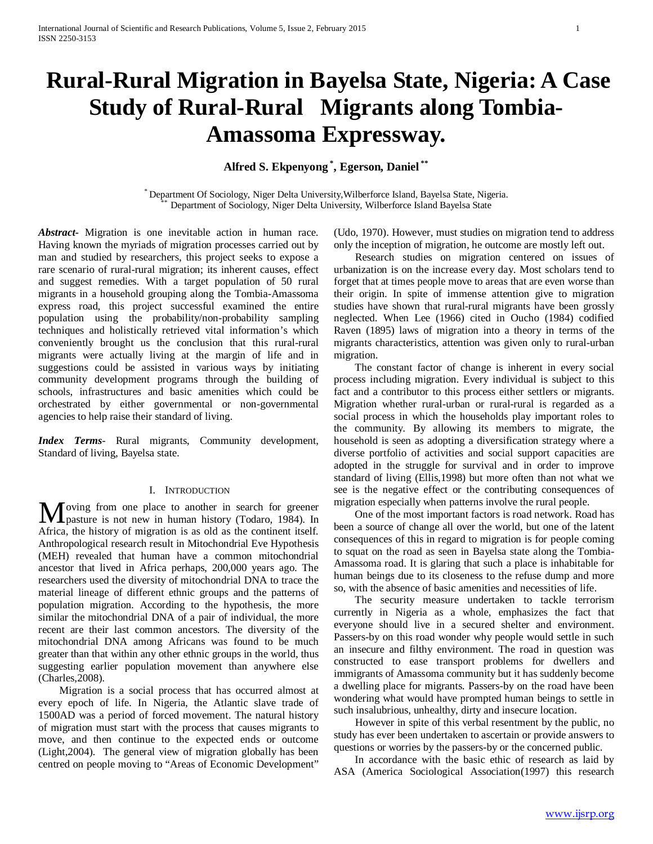# **Rural-Rural Migration in Bayelsa State, Nigeria: A Case Study of Rural-Rural Migrants along Tombia-Amassoma Expressway.**

**Alfred S. Ekpenyong \* , Egerson, Daniel \*\***

\* Department Of Sociology, Niger Delta University,Wilberforce Island, Bayelsa State, Nigeria. \*\* Department of Sociology, Niger Delta University, Wilberforce Island Bayelsa State

*Abstract***-** Migration is one inevitable action in human race. Having known the myriads of migration processes carried out by man and studied by researchers, this project seeks to expose a rare scenario of rural-rural migration; its inherent causes, effect and suggest remedies. With a target population of 50 rural migrants in a household grouping along the Tombia-Amassoma express road, this project successful examined the entire population using the probability/non-probability sampling techniques and holistically retrieved vital information's which conveniently brought us the conclusion that this rural-rural migrants were actually living at the margin of life and in suggestions could be assisted in various ways by initiating community development programs through the building of schools, infrastructures and basic amenities which could be orchestrated by either governmental or non-governmental agencies to help raise their standard of living.

*Index Terms*- Rural migrants, Community development, Standard of living, Bayelsa state.

### I. INTRODUCTION

oving from one place to another in search for greener Moving from one place to another in search for greener pasture is not new in human history (Todaro, 1984). In Africa, the history of migration is as old as the continent itself. Anthropological research result in Mitochondrial Eve Hypothesis (MEH) revealed that human have a common mitochondrial ancestor that lived in Africa perhaps, 200,000 years ago. The researchers used the diversity of mitochondrial DNA to trace the material lineage of different ethnic groups and the patterns of population migration. According to the hypothesis, the more similar the mitochondrial DNA of a pair of individual, the more recent are their last common ancestors. The diversity of the mitochondrial DNA among Africans was found to be much greater than that within any other ethnic groups in the world, thus suggesting earlier population movement than anywhere else (Charles,2008).

 Migration is a social process that has occurred almost at every epoch of life. In Nigeria, the Atlantic slave trade of 1500AD was a period of forced movement. The natural history of migration must start with the process that causes migrants to move, and then continue to the expected ends or outcome (Light,2004). The general view of migration globally has been centred on people moving to "Areas of Economic Development"

(Udo, 1970). However, must studies on migration tend to address only the inception of migration, he outcome are mostly left out.

 Research studies on migration centered on issues of urbanization is on the increase every day. Most scholars tend to forget that at times people move to areas that are even worse than their origin. In spite of immense attention give to migration studies have shown that rural-rural migrants have been grossly neglected. When Lee (1966) cited in Oucho (1984) codified Raven (1895) laws of migration into a theory in terms of the migrants characteristics, attention was given only to rural-urban migration.

 The constant factor of change is inherent in every social process including migration. Every individual is subject to this fact and a contributor to this process either settlers or migrants. Migration whether rural-urban or rural-rural is regarded as a social process in which the households play important roles to the community. By allowing its members to migrate, the household is seen as adopting a diversification strategy where a diverse portfolio of activities and social support capacities are adopted in the struggle for survival and in order to improve standard of living (Ellis,1998) but more often than not what we see is the negative effect or the contributing consequences of migration especially when patterns involve the rural people.

 One of the most important factors is road network. Road has been a source of change all over the world, but one of the latent consequences of this in regard to migration is for people coming to squat on the road as seen in Bayelsa state along the Tombia-Amassoma road. It is glaring that such a place is inhabitable for human beings due to its closeness to the refuse dump and more so, with the absence of basic amenities and necessities of life.

 The security measure undertaken to tackle terrorism currently in Nigeria as a whole, emphasizes the fact that everyone should live in a secured shelter and environment. Passers-by on this road wonder why people would settle in such an insecure and filthy environment. The road in question was constructed to ease transport problems for dwellers and immigrants of Amassoma community but it has suddenly become a dwelling place for migrants. Passers-by on the road have been wondering what would have prompted human beings to settle in such insalubrious, unhealthy, dirty and insecure location.

 However in spite of this verbal resentment by the public, no study has ever been undertaken to ascertain or provide answers to questions or worries by the passers-by or the concerned public.

 In accordance with the basic ethic of research as laid by ASA (America Sociological Association(1997) this research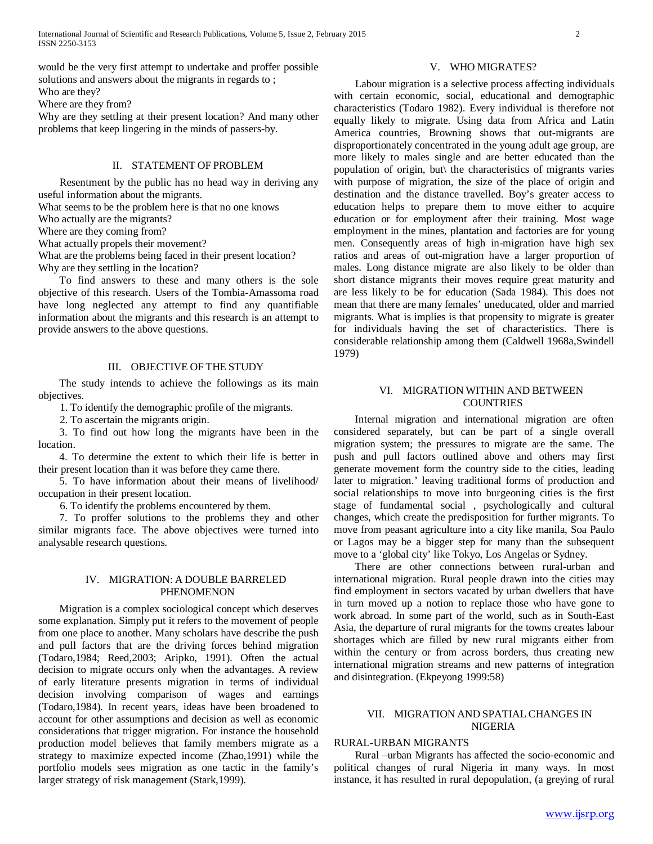would be the very first attempt to undertake and proffer possible solutions and answers about the migrants in regards to ;

Who are they?

Where are they from?

Why are they settling at their present location? And many other problems that keep lingering in the minds of passers-by.

# II. STATEMENT OF PROBLEM

 Resentment by the public has no head way in deriving any useful information about the migrants.

What seems to be the problem here is that no one knows

Who actually are the migrants?

Where are they coming from?

What actually propels their movement?

What are the problems being faced in their present location? Why are they settling in the location?

 To find answers to these and many others is the sole objective of this research. Users of the Tombia-Amassoma road have long neglected any attempt to find any quantifiable information about the migrants and this research is an attempt to provide answers to the above questions.

### III. OBJECTIVE OF THE STUDY

 The study intends to achieve the followings as its main objectives.

1. To identify the demographic profile of the migrants.

2. To ascertain the migrants origin.

 3. To find out how long the migrants have been in the location.

 4. To determine the extent to which their life is better in their present location than it was before they came there.

 5. To have information about their means of livelihood/ occupation in their present location.

6. To identify the problems encountered by them.

 7. To proffer solutions to the problems they and other similar migrants face. The above objectives were turned into analysable research questions.

# IV. MIGRATION: A DOUBLE BARRELED PHENOMENON

 Migration is a complex sociological concept which deserves some explanation. Simply put it refers to the movement of people from one place to another. Many scholars have describe the push and pull factors that are the driving forces behind migration (Todaro,1984; Reed,2003; Aripko, 1991). Often the actual decision to migrate occurs only when the advantages. A review of early literature presents migration in terms of individual decision involving comparison of wages and earnings (Todaro,1984). In recent years, ideas have been broadened to account for other assumptions and decision as well as economic considerations that trigger migration. For instance the household production model believes that family members migrate as a strategy to maximize expected income (Zhao,1991) while the portfolio models sees migration as one tactic in the family's larger strategy of risk management (Stark,1999).

### V. WHO MIGRATES?

 Labour migration is a selective process affecting individuals with certain economic, social, educational and demographic characteristics (Todaro 1982). Every individual is therefore not equally likely to migrate. Using data from Africa and Latin America countries, Browning shows that out-migrants are disproportionately concentrated in the young adult age group, are more likely to males single and are better educated than the population of origin, but\ the characteristics of migrants varies with purpose of migration, the size of the place of origin and destination and the distance travelled. Boy's greater access to education helps to prepare them to move either to acquire education or for employment after their training. Most wage employment in the mines, plantation and factories are for young men. Consequently areas of high in-migration have high sex ratios and areas of out-migration have a larger proportion of males. Long distance migrate are also likely to be older than short distance migrants their moves require great maturity and are less likely to be for education (Sada 1984). This does not mean that there are many females' uneducated, older and married migrants. What is implies is that propensity to migrate is greater for individuals having the set of characteristics. There is considerable relationship among them (Caldwell 1968a,Swindell 1979)

### VI. MIGRATION WITHIN AND BETWEEN **COUNTRIES**

 Internal migration and international migration are often considered separately, but can be part of a single overall migration system; the pressures to migrate are the same. The push and pull factors outlined above and others may first generate movement form the country side to the cities, leading later to migration.' leaving traditional forms of production and social relationships to move into burgeoning cities is the first stage of fundamental social , psychologically and cultural changes, which create the predisposition for further migrants. To move from peasant agriculture into a city like manila, Soa Paulo or Lagos may be a bigger step for many than the subsequent move to a 'global city' like Tokyo, Los Angelas or Sydney.

 There are other connections between rural-urban and international migration. Rural people drawn into the cities may find employment in sectors vacated by urban dwellers that have in turn moved up a notion to replace those who have gone to work abroad. In some part of the world, such as in South-East Asia, the departure of rural migrants for the towns creates labour shortages which are filled by new rural migrants either from within the century or from across borders, thus creating new international migration streams and new patterns of integration and disintegration. (Ekpeyong 1999:58)

# VII. MIGRATION AND SPATIAL CHANGES IN NIGERIA

# RURAL-URBAN MIGRANTS

 Rural –urban Migrants has affected the socio-economic and political changes of rural Nigeria in many ways. In most instance, it has resulted in rural depopulation, (a greying of rural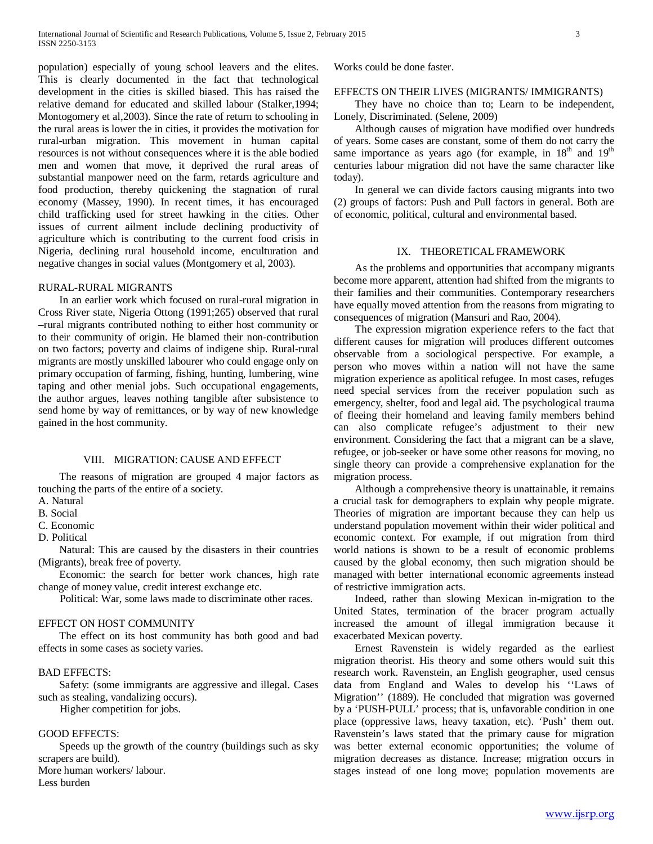population) especially of young school leavers and the elites. This is clearly documented in the fact that technological development in the cities is skilled biased. This has raised the relative demand for educated and skilled labour (Stalker,1994; Montogomery et al,2003). Since the rate of return to schooling in the rural areas is lower the in cities, it provides the motivation for rural-urban migration. This movement in human capital resources is not without consequences where it is the able bodied men and women that move, it deprived the rural areas of substantial manpower need on the farm, retards agriculture and food production, thereby quickening the stagnation of rural economy (Massey, 1990). In recent times, it has encouraged child trafficking used for street hawking in the cities. Other issues of current ailment include declining productivity of agriculture which is contributing to the current food crisis in Nigeria, declining rural household income, enculturation and negative changes in social values (Montgomery et al, 2003).

# RURAL-RURAL MIGRANTS

 In an earlier work which focused on rural-rural migration in Cross River state, Nigeria Ottong (1991;265) observed that rural –rural migrants contributed nothing to either host community or to their community of origin. He blamed their non-contribution on two factors; poverty and claims of indigene ship. Rural-rural migrants are mostly unskilled labourer who could engage only on primary occupation of farming, fishing, hunting, lumbering, wine taping and other menial jobs. Such occupational engagements, the author argues, leaves nothing tangible after subsistence to send home by way of remittances, or by way of new knowledge gained in the host community.

### VIII. MIGRATION: CAUSE AND EFFECT

 The reasons of migration are grouped 4 major factors as touching the parts of the entire of a society.

- A. Natural
- B. Social
- C. Economic
- D. Political

 Natural: This are caused by the disasters in their countries (Migrants), break free of poverty.

 Economic: the search for better work chances, high rate change of money value, credit interest exchange etc.

Political: War, some laws made to discriminate other races.

# EFFECT ON HOST COMMUNITY

 The effect on its host community has both good and bad effects in some cases as society varies.

### BAD EFFECTS:

 Safety: (some immigrants are aggressive and illegal. Cases such as stealing, vandalizing occurs).

Higher competition for jobs.

### GOOD EFFECTS:

 Speeds up the growth of the country (buildings such as sky scrapers are build).

More human workers/ labour.

Less burden

Works could be done faster.

### EFFECTS ON THEIR LIVES (MIGRANTS/ IMMIGRANTS)

 They have no choice than to; Learn to be independent, Lonely, Discriminated. (Selene, 2009)

 Although causes of migration have modified over hundreds of years. Some cases are constant, some of them do not carry the same importance as years ago (for example, in  $18<sup>th</sup>$  and  $19<sup>th</sup>$ centuries labour migration did not have the same character like today).

 In general we can divide factors causing migrants into two (2) groups of factors: Push and Pull factors in general. Both are of economic, political, cultural and environmental based.

# IX. THEORETICAL FRAMEWORK

 As the problems and opportunities that accompany migrants become more apparent, attention had shifted from the migrants to their families and their communities. Contemporary researchers have equally moved attention from the reasons from migrating to consequences of migration (Mansuri and Rao, 2004).

 The expression migration experience refers to the fact that different causes for migration will produces different outcomes observable from a sociological perspective. For example, a person who moves within a nation will not have the same migration experience as apolitical refugee. In most cases, refuges need special services from the receiver population such as emergency, shelter, food and legal aid. The psychological trauma of fleeing their homeland and leaving family members behind can also complicate refugee's adjustment to their new environment. Considering the fact that a migrant can be a slave, refugee, or job-seeker or have some other reasons for moving, no single theory can provide a comprehensive explanation for the migration process.

 Although a comprehensive theory is unattainable, it remains a crucial task for demographers to explain why people migrate. Theories of migration are important because they can help us understand population movement within their wider political and economic context. For example, if out migration from third world nations is shown to be a result of economic problems caused by the global economy, then such migration should be managed with better international economic agreements instead of restrictive immigration acts.

 Indeed, rather than slowing Mexican in-migration to the United States, termination of the bracer program actually increased the amount of illegal immigration because it exacerbated Mexican poverty.

 Ernest Ravenstein is widely regarded as the earliest migration theorist. His theory and some others would suit this research work. Ravenstein, an English geographer, used census data from England and Wales to develop his ''Laws of Migration'' (1889). He concluded that migration was governed by a 'PUSH-PULL' process; that is, unfavorable condition in one place (oppressive laws, heavy taxation, etc). 'Push' them out. Ravenstein's laws stated that the primary cause for migration was better external economic opportunities; the volume of migration decreases as distance. Increase; migration occurs in stages instead of one long move; population movements are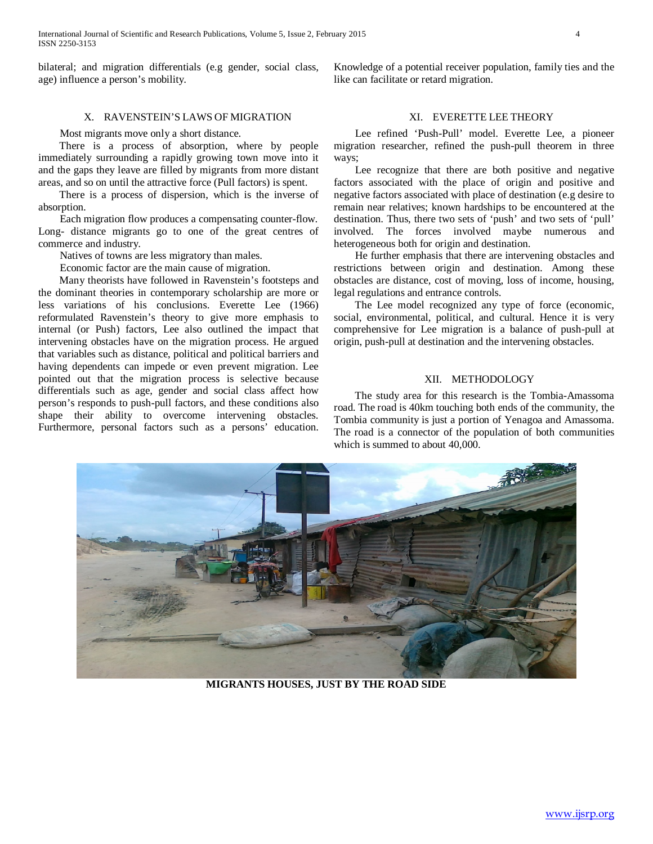International Journal of Scientific and Research Publications, Volume 5, Issue 2, February 2015 4 ISSN 2250-3153

bilateral; and migration differentials (e.g gender, social class, age) influence a person's mobility.

# X. RAVENSTEIN'S LAWS OF MIGRATION

Most migrants move only a short distance.

 There is a process of absorption, where by people immediately surrounding a rapidly growing town move into it and the gaps they leave are filled by migrants from more distant areas, and so on until the attractive force (Pull factors) is spent.

 There is a process of dispersion, which is the inverse of absorption.

 Each migration flow produces a compensating counter-flow. Long- distance migrants go to one of the great centres of commerce and industry.

Natives of towns are less migratory than males.

Economic factor are the main cause of migration.

 Many theorists have followed in Ravenstein's footsteps and the dominant theories in contemporary scholarship are more or less variations of his conclusions. Everette Lee (1966) reformulated Ravenstein's theory to give more emphasis to internal (or Push) factors, Lee also outlined the impact that intervening obstacles have on the migration process. He argued that variables such as distance, political and political barriers and having dependents can impede or even prevent migration. Lee pointed out that the migration process is selective because differentials such as age, gender and social class affect how person's responds to push-pull factors, and these conditions also shape their ability to overcome intervening obstacles. Furthermore, personal factors such as a persons' education. Knowledge of a potential receiver population, family ties and the like can facilitate or retard migration.

# XI. EVERETTE LEE THEORY

 Lee refined 'Push-Pull' model. Everette Lee, a pioneer migration researcher, refined the push-pull theorem in three ways;

 Lee recognize that there are both positive and negative factors associated with the place of origin and positive and negative factors associated with place of destination (e.g desire to remain near relatives; known hardships to be encountered at the destination. Thus, there two sets of 'push' and two sets of 'pull' involved. The forces involved maybe numerous and heterogeneous both for origin and destination.

 He further emphasis that there are intervening obstacles and restrictions between origin and destination. Among these obstacles are distance, cost of moving, loss of income, housing, legal regulations and entrance controls.

 The Lee model recognized any type of force (economic, social, environmental, political, and cultural. Hence it is very comprehensive for Lee migration is a balance of push-pull at origin, push-pull at destination and the intervening obstacles.

### XII. METHODOLOGY

 The study area for this research is the Tombia-Amassoma road. The road is 40km touching both ends of the community, the Tombia community is just a portion of Yenagoa and Amassoma. The road is a connector of the population of both communities which is summed to about 40,000.



**MIGRANTS HOUSES, JUST BY THE ROAD SIDE**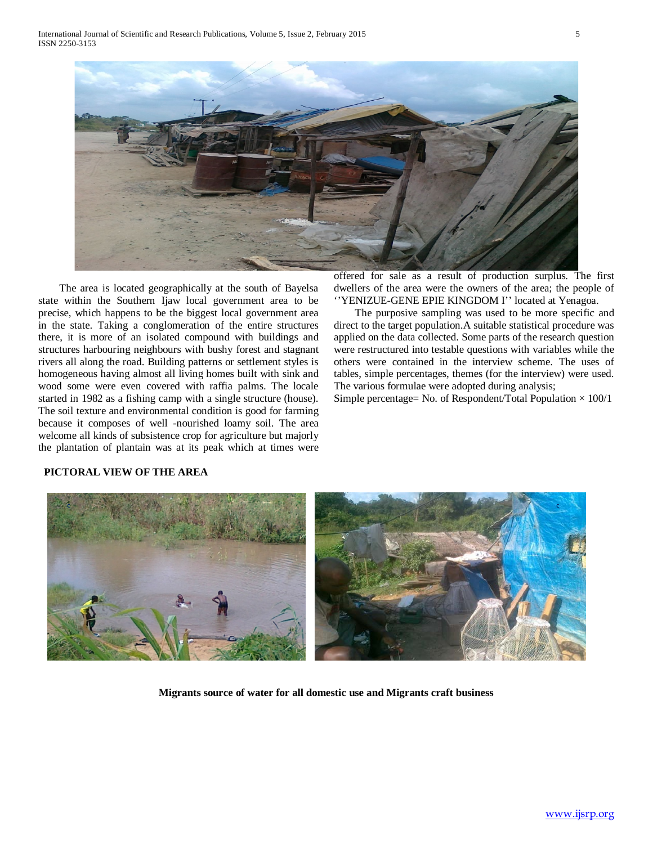

 The area is located geographically at the south of Bayelsa state within the Southern Ijaw local government area to be precise, which happens to be the biggest local government area in the state. Taking a conglomeration of the entire structures there, it is more of an isolated compound with buildings and structures harbouring neighbours with bushy forest and stagnant rivers all along the road. Building patterns or settlement styles is homogeneous having almost all living homes built with sink and wood some were even covered with raffia palms. The locale started in 1982 as a fishing camp with a single structure (house). The soil texture and environmental condition is good for farming because it composes of well -nourished loamy soil. The area welcome all kinds of subsistence crop for agriculture but majorly the plantation of plantain was at its peak which at times were offered for sale as a result of production surplus. The first dwellers of the area were the owners of the area; the people of ''YENIZUE-GENE EPIE KINGDOM I'' located at Yenagoa.

 The purposive sampling was used to be more specific and direct to the target population.A suitable statistical procedure was applied on the data collected. Some parts of the research question were restructured into testable questions with variables while the others were contained in the interview scheme. The uses of tables, simple percentages, themes (for the interview) were used. The various formulae were adopted during analysis;

Simple percentage= No. of Respondent/Total Population  $\times$  100/1



# **PICTORAL VIEW OF THE AREA**

**Migrants source of water for all domestic use and Migrants craft business**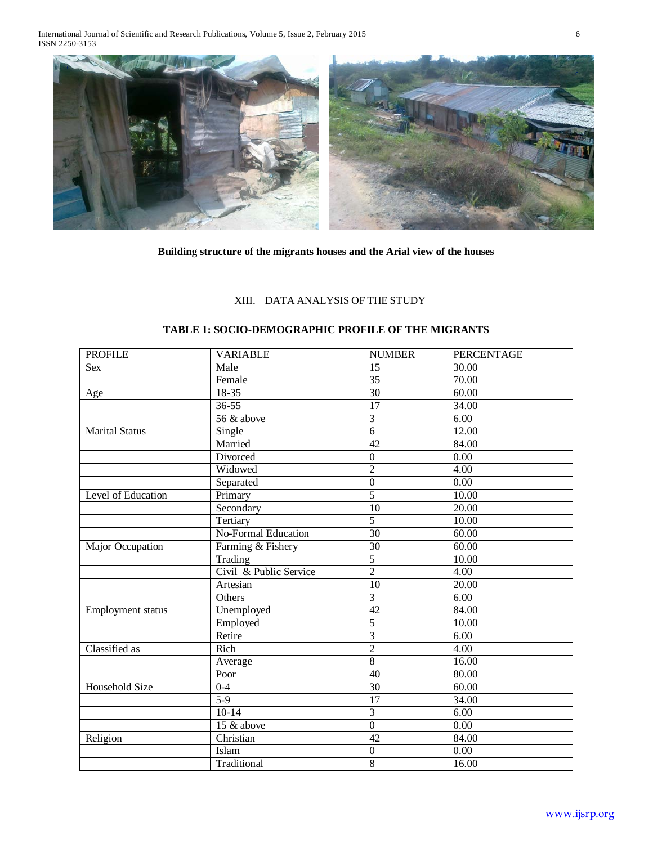International Journal of Scientific and Research Publications, Volume 5, Issue 2, February 2015 6 ISSN 2250-3153



**Building structure of the migrants houses and the Arial view of the houses**

# XIII. DATA ANALYSIS OF THE STUDY

# **TABLE 1: SOCIO-DEMOGRAPHIC PROFILE OF THE MIGRANTS**

| <b>PROFILE</b>        | <b>VARIABLE</b>        | <b>NUMBER</b>    | <b>PERCENTAGE</b>  |
|-----------------------|------------------------|------------------|--------------------|
| <b>Sex</b>            | Male                   | 15               | 30.00              |
|                       | Female                 | 35               | 70.00              |
| Age                   | 18-35                  | $\overline{30}$  | 60.00              |
|                       | $36 - 55$              | 17               | 34.00              |
|                       | 56 & above             | $\overline{3}$   | 6.00               |
| <b>Marital Status</b> | Single                 | $\overline{6}$   | 12.00              |
|                       | Married                | $\overline{42}$  | 84.00              |
|                       | Divorced               | $\boldsymbol{0}$ | $\overline{0.00}$  |
|                       | Widowed                | $\overline{2}$   | 4.00               |
|                       | Separated              | $\overline{0}$   | $\overline{0.00}$  |
| Level of Education    | Primary                | $\overline{5}$   | $\overline{10.00}$ |
|                       | Secondary              | $\overline{10}$  | 20.00              |
|                       | Tertiary               | $\overline{5}$   | 10.00              |
|                       | No-Formal Education    | 30               | 60.00              |
| Major Occupation      | Farming & Fishery      | $\overline{30}$  | 60.00              |
|                       | Trading                | $\overline{5}$   | 10.00              |
|                       | Civil & Public Service | $\overline{2}$   | 4.00               |
|                       | Artesian               | 10               | 20.00              |
|                       | Others                 | $\overline{3}$   | $\overline{6.00}$  |
| Employment status     | Unemployed             | $\overline{42}$  | 84.00              |
|                       | Employed               | $\overline{5}$   | 10.00              |
|                       | Retire                 | $\overline{3}$   | 6.00               |
| Classified as         | Rich                   | $\overline{2}$   | 4.00               |
|                       | Average                | $\overline{8}$   | 16.00              |
|                       | Poor                   | 40               | 80.00              |
| Household Size        | $0 - 4$                | $\overline{30}$  | 60.00              |
|                       | $5-9$                  | $\overline{17}$  | 34.00              |
|                       | $10-14$                | $\overline{3}$   | 6.00               |
|                       | 15 & above             | $\overline{0}$   | $\overline{0.00}$  |
| Religion              | Christian              | $\overline{42}$  | 84.00              |
|                       | Islam                  | $\boldsymbol{0}$ | 0.00               |
|                       | Traditional            | $\overline{8}$   | 16.00              |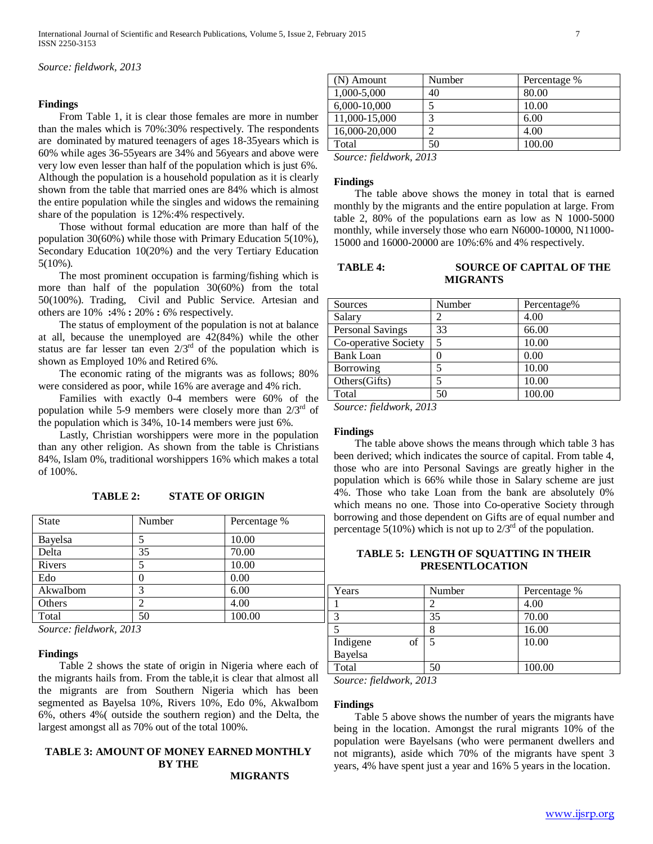*Source: fieldwork, 2013*

### **Findings**

 From Table 1, it is clear those females are more in number than the males which is 70%:30% respectively. The respondents are dominated by matured teenagers of ages 18-35years which is 60% while ages 36-55years are 34% and 56years and above were very low even lesser than half of the population which is just 6%. Although the population is a household population as it is clearly shown from the table that married ones are 84% which is almost the entire population while the singles and widows the remaining share of the population is 12%:4% respectively.

 Those without formal education are more than half of the population 30(60%) while those with Primary Education 5(10%), Secondary Education 10(20%) and the very Tertiary Education 5(10%).

 The most prominent occupation is farming/fishing which is more than half of the population 30(60%) from the total 50(100%). Trading, Civil and Public Service. Artesian and others are 10% **:**4% **:** 20% **:** 6% respectively.

 The status of employment of the population is not at balance at all, because the unemployed are 42(84%) while the other status are far lesser tan even  $2/3^{rd}$  of the population which is shown as Employed 10% and Retired 6%.

 The economic rating of the migrants was as follows; 80% were considered as poor, while 16% are average and 4% rich.

 Families with exactly 0-4 members were 60% of the population while 5-9 members were closely more than  $2/3<sup>rd</sup>$  of the population which is 34%, 10-14 members were just 6%.

 Lastly, Christian worshippers were more in the population than any other religion. As shown from the table is Christians 84%, Islam 0%, traditional worshippers 16% which makes a total of 100%.

**TABLE 2: STATE OF ORIGIN**

| <b>State</b> | Number | Percentage % |
|--------------|--------|--------------|
| Bayelsa      |        | 10.00        |
| Delta        | 35     | 70.00        |
| Rivers       | 5      | 10.00        |
| Edo          |        | 0.00         |
| AkwaIbom     | 3      | 6.00         |
| Others       | 2      | 4.00         |
| Total        | 50     | 100.00       |

*Source: fieldwork, 2013*

### **Findings**

 Table 2 shows the state of origin in Nigeria where each of the migrants hails from. From the table,it is clear that almost all the migrants are from Southern Nigeria which has been segmented as Bayelsa 10%, Rivers 10%, Edo 0%, AkwaIbom 6%, others 4%( outside the southern region) and the Delta, the largest amongst all as 70% out of the total 100%.

# **TABLE 3: AMOUNT OF MONEY EARNED MONTHLY BY THE**

**MIGRANTS**

| Number | Percentage % |
|--------|--------------|
|        | 80.00        |
|        | 10.00        |
|        | 6.00         |
| $\sim$ | 4.00         |
| 50     | 100.00       |
|        |              |

*Source: fieldwork, 2013*

### **Findings**

 The table above shows the money in total that is earned monthly by the migrants and the entire population at large. From table 2, 80% of the populations earn as low as N 1000-5000 monthly, while inversely those who earn N6000-10000, N11000- 15000 and 16000-20000 are 10%:6% and 4% respectively.

# **TABLE 4: SOURCE OF CAPITAL OF THE MIGRANTS**

| Sources              | Number | Percentage% |
|----------------------|--------|-------------|
| Salary               |        | 4.00        |
| Personal Savings     | 33     | 66.00       |
| Co-operative Society | 5      | 10.00       |
| <b>Bank Loan</b>     |        | 0.00        |
| Borrowing            |        | 10.00       |
| Others(Gifts)        | 5      | 10.00       |
| Total                | 50     | 100.00      |

*Source: fieldwork, 2013*

### **Findings**

 The table above shows the means through which table 3 has been derived; which indicates the source of capital. From table 4, those who are into Personal Savings are greatly higher in the population which is 66% while those in Salary scheme are just 4%. Those who take Loan from the bank are absolutely 0% which means no one. Those into Co-operative Society through borrowing and those dependent on Gifts are of equal number and percentage 5(10%) which is not up to  $2/3^{rd}$  of the population.

# **TABLE 5: LENGTH OF SQUATTING IN THEIR PRESENTLOCATION**

| Years          | Number | Percentage % |
|----------------|--------|--------------|
|                |        | 4.00         |
|                | 35     | 70.00        |
|                |        | 16.00        |
| of<br>Indigene |        | 10.00        |
| Bayelsa        |        |              |
| Total          |        | 100.00       |

*Source: fieldwork, 2013*

### **Findings**

 Table 5 above shows the number of years the migrants have being in the location. Amongst the rural migrants 10% of the population were Bayelsans (who were permanent dwellers and not migrants), aside which 70% of the migrants have spent 3 years, 4% have spent just a year and 16% 5 years in the location.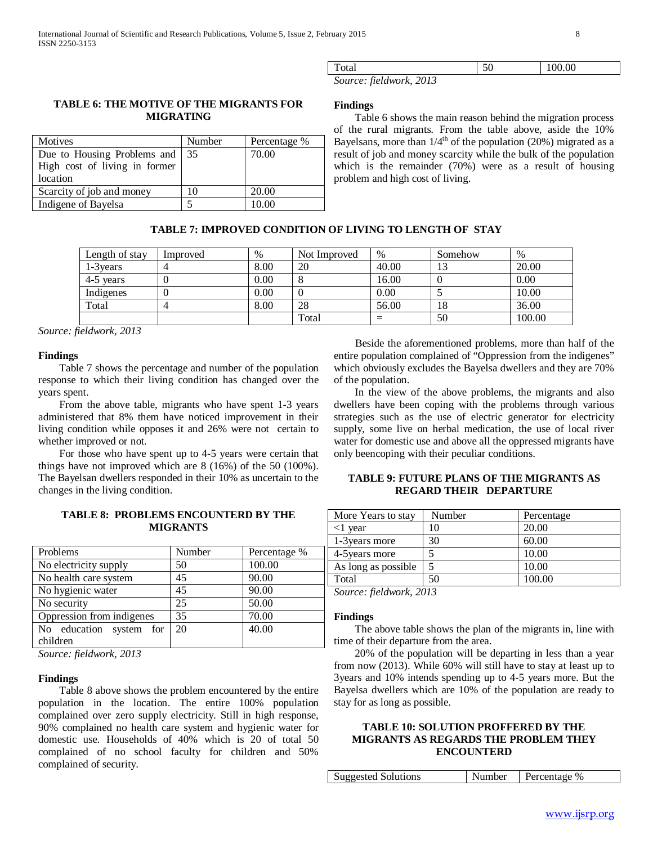| Total                   | 0.00 |
|-------------------------|------|
| Source: fieldwork, 2013 |      |

# **TABLE 6: THE MOTIVE OF THE MIGRANTS FOR MIGRATING**

| Motives                       | Number | Percentage % |
|-------------------------------|--------|--------------|
| Due to Housing Problems and   | 35     | 70.00        |
| High cost of living in former |        |              |
| location                      |        |              |
| Scarcity of job and money     | 10     | 20.00        |
| Indigene of Bayelsa           |        | 10.00        |

# **Findings**

 Table 6 shows the main reason behind the migration process of the rural migrants. From the table above, aside the 10% Bayelsans, more than  $1/4^{th}$  of the population (20%) migrated as a result of job and money scarcity while the bulk of the population which is the remainder (70%) were as a result of housing problem and high cost of living.

# **TABLE 7: IMPROVED CONDITION OF LIVING TO LENGTH OF STAY**

| Length of stay | Improved | $\%$ | Not Improved | $\%$  | Somehow | $\%$   |
|----------------|----------|------|--------------|-------|---------|--------|
| 1-3 vears      |          | 8.00 | 20           | 40.00 | IJ      | 20.00  |
| 4-5 years      |          | 0.00 |              | 16.00 |         | 0.00   |
| Indigenes      |          | 0.00 |              | 0.00  |         | 10.00  |
| Total          |          | 8.00 | 28           | 56.00 | 18      | 36.00  |
|                |          |      | Total        | -     | 50      | 100.00 |

*Source: fieldwork, 2013*

# **Findings**

 Table 7 shows the percentage and number of the population response to which their living condition has changed over the years spent.

 From the above table, migrants who have spent 1-3 years administered that 8% them have noticed improvement in their living condition while opposes it and 26% were not certain to whether improved or not.

 For those who have spent up to 4-5 years were certain that things have not improved which are 8 (16%) of the 50 (100%). The Bayelsan dwellers responded in their 10% as uncertain to the changes in the living condition.

# **TABLE 8: PROBLEMS ENCOUNTERD BY THE MIGRANTS**

| Problems                  | Number | Percentage % |
|---------------------------|--------|--------------|
| No electricity supply     | 50     | 100.00       |
| No health care system     | 45     | 90.00        |
| No hygienic water         | 45     | 90.00        |
| No security               | 25     | 50.00        |
| Oppression from indigenes | 35     | 70.00        |
| No education system for   | 20     | 40.00        |
| children                  |        |              |
| 0.11.0010                 |        |              |

*Source: fieldwork, 2013*

### **Findings**

 Table 8 above shows the problem encountered by the entire population in the location. The entire 100% population complained over zero supply electricity. Still in high response, 90% complained no health care system and hygienic water for domestic use. Households of 40% which is 20 of total 50 complained of no school faculty for children and 50% complained of security.

 Beside the aforementioned problems, more than half of the entire population complained of "Oppression from the indigenes" which obviously excludes the Bayelsa dwellers and they are 70% of the population.

 In the view of the above problems, the migrants and also dwellers have been coping with the problems through various strategies such as the use of electric generator for electricity supply, some live on herbal medication, the use of local river water for domestic use and above all the oppressed migrants have only beencoping with their peculiar conditions.

# **TABLE 9: FUTURE PLANS OF THE MIGRANTS AS REGARD THEIR DEPARTURE**

| More Years to stay  | Number | Percentage |
|---------------------|--------|------------|
| <1 vear             |        | 20.00      |
| 1-3 years more      | 30     | 60.00      |
| 4-5 years more      |        | 10.00      |
| As long as possible |        | 10.00      |
| Total               | 50     | 100.00     |

*Source: fieldwork, 2013*

### **Findings**

 The above table shows the plan of the migrants in, line with time of their departure from the area.

 20% of the population will be departing in less than a year from now (2013). While 60% will still have to stay at least up to 3years and 10% intends spending up to 4-5 years more. But the Bayelsa dwellers which are 10% of the population are ready to stay for as long as possible.

# **TABLE 10: SOLUTION PROFFERED BY THE MIGRANTS AS REGARDS THE PROBLEM THEY ENCOUNTERD**

| <b>Suggested Solutions</b> | Number | Percentage % |
|----------------------------|--------|--------------|
|----------------------------|--------|--------------|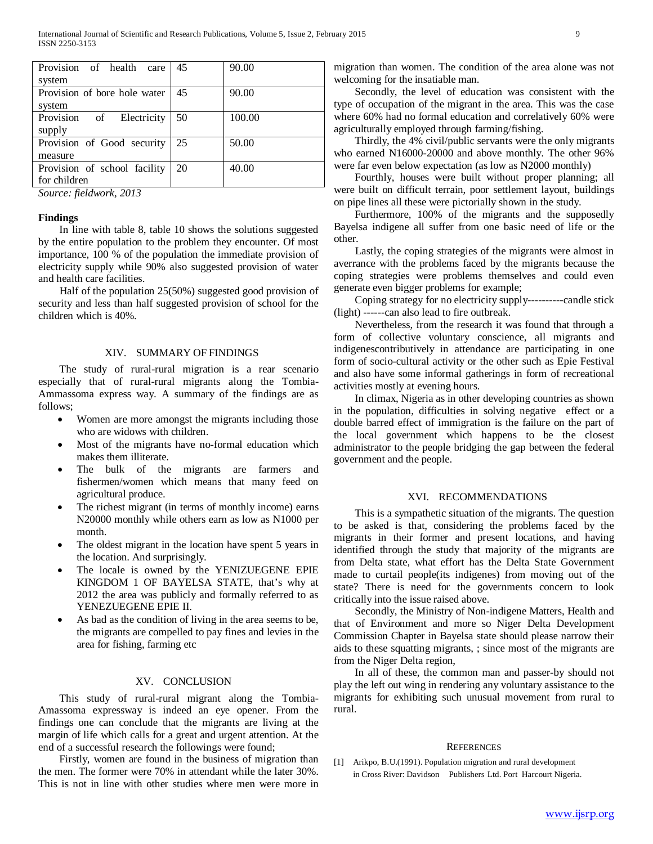| Provision of health<br>care  | 45 | 90.00  |
|------------------------------|----|--------|
| system                       |    |        |
| Provision of bore hole water | 45 | 90.00  |
| system                       |    |        |
| Provision of Electricity     | 50 | 100.00 |
| supply                       |    |        |
| Provision of Good security   | 25 | 50.00  |
| measure                      |    |        |
| Provision of school facility | 20 | 40.00  |
| for children                 |    |        |

*Source: fieldwork, 2013*

### **Findings**

 In line with table 8, table 10 shows the solutions suggested by the entire population to the problem they encounter. Of most importance, 100 % of the population the immediate provision of electricity supply while 90% also suggested provision of water and health care facilities.

 Half of the population 25(50%) suggested good provision of security and less than half suggested provision of school for the children which is 40%.

# XIV. SUMMARY OF FINDINGS

 The study of rural-rural migration is a rear scenario especially that of rural-rural migrants along the Tombia-Ammassoma express way. A summary of the findings are as follows;

- Women are more amongst the migrants including those who are widows with children.
- Most of the migrants have no-formal education which makes them illiterate.
- The bulk of the migrants are farmers and fishermen/women which means that many feed on agricultural produce.
- The richest migrant (in terms of monthly income) earns N20000 monthly while others earn as low as N1000 per month.
- The oldest migrant in the location have spent 5 years in the location. And surprisingly.
- The locale is owned by the YENIZUEGENE EPIE KINGDOM 1 OF BAYELSA STATE, that's why at 2012 the area was publicly and formally referred to as YENEZUEGENE EPIE II.
- As bad as the condition of living in the area seems to be, the migrants are compelled to pay fines and levies in the area for fishing, farming etc

# XV. CONCLUSION

 This study of rural-rural migrant along the Tombia-Amassoma expressway is indeed an eye opener. From the findings one can conclude that the migrants are living at the margin of life which calls for a great and urgent attention. At the end of a successful research the followings were found;

 Firstly, women are found in the business of migration than the men. The former were 70% in attendant while the later 30%. This is not in line with other studies where men were more in migration than women. The condition of the area alone was not welcoming for the insatiable man.

 Secondly, the level of education was consistent with the type of occupation of the migrant in the area. This was the case where 60% had no formal education and correlatively 60% were agriculturally employed through farming/fishing.

 Thirdly, the 4% civil/public servants were the only migrants who earned N16000-20000 and above monthly. The other 96% were far even below expectation (as low as N2000 monthly)

 Fourthly, houses were built without proper planning; all were built on difficult terrain, poor settlement layout, buildings on pipe lines all these were pictorially shown in the study.

 Furthermore, 100% of the migrants and the supposedly Bayelsa indigene all suffer from one basic need of life or the other.

 Lastly, the coping strategies of the migrants were almost in averrance with the problems faced by the migrants because the coping strategies were problems themselves and could even generate even bigger problems for example;

 Coping strategy for no electricity supply----------candle stick (light) ------can also lead to fire outbreak.

 Nevertheless, from the research it was found that through a form of collective voluntary conscience, all migrants and indigenescontributively in attendance are participating in one form of socio-cultural activity or the other such as Epie Festival and also have some informal gatherings in form of recreational activities mostly at evening hours.

 In climax, Nigeria as in other developing countries as shown in the population, difficulties in solving negative effect or a double barred effect of immigration is the failure on the part of the local government which happens to be the closest administrator to the people bridging the gap between the federal government and the people.

# XVI. RECOMMENDATIONS

 This is a sympathetic situation of the migrants. The question to be asked is that, considering the problems faced by the migrants in their former and present locations, and having identified through the study that majority of the migrants are from Delta state, what effort has the Delta State Government made to curtail people(its indigenes) from moving out of the state? There is need for the governments concern to look critically into the issue raised above.

 Secondly, the Ministry of Non-indigene Matters, Health and that of Environment and more so Niger Delta Development Commission Chapter in Bayelsa state should please narrow their aids to these squatting migrants, ; since most of the migrants are from the Niger Delta region,

 In all of these, the common man and passer-by should not play the left out wing in rendering any voluntary assistance to the migrants for exhibiting such unusual movement from rural to rural.

#### **REFERENCES**

[1] Arikpo, B.U.(1991). Population migration and rural development in Cross River: Davidson Publishers Ltd. Port Harcourt Nigeria.